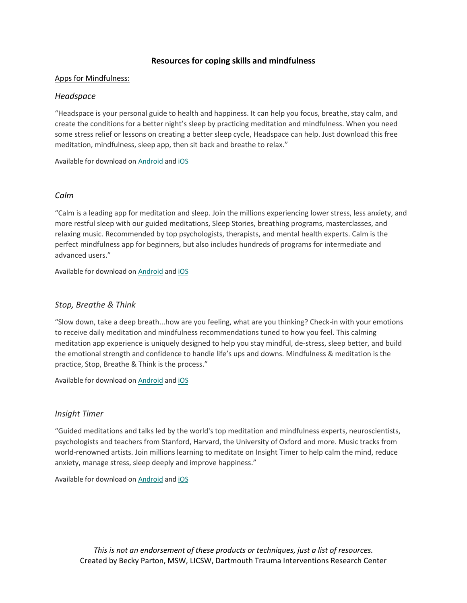## **Resources for coping skills and mindfulness**

#### Apps for Mindfulness:

### *Headspace*

"Headspace is your personal guide to health and happiness. It can help you focus, breathe, stay calm, and create the conditions for a better night's sleep by practicing meditation and mindfulness. When you need some stress relief or lessons on creating a better sleep cycle, Headspace can help. Just download this free meditation, mindfulness, sleep app, then sit back and breathe to relax."

Available for download on [Android](https://play.google.com/store/apps/details?id=com.getsomeheadspace.android) and [iOS](https://itunes.apple.com/gb/app/headspace-guided-meditation/id493145008?mt=8)

#### *Calm*

"Calm is a leading app for meditation and sleep. Join the millions experiencing lower stress, less anxiety, and more restful sleep with our guided meditations, Sleep Stories, breathing programs, masterclasses, and relaxing music. Recommended by top psychologists, therapists, and mental health experts. Calm is the perfect mindfulness app for beginners, but also includes hundreds of programs for intermediate and advanced users."

Available for download on [Android](https://play.google.com/store/apps/details?id=com.calm.android) and [iOS](https://itunes.apple.com/gb/app/calm/id571800810?mt=8)

### *Stop, Breathe & Think*

"Slow down, take a deep breath...how are you feeling, what are you thinking? Check-in with your emotions to receive daily meditation and mindfulness recommendations tuned to how you feel. This calming meditation app experience is uniquely designed to help you stay mindful, de-stress, sleep better, and build the emotional strength and confidence to handle life's ups and downs. Mindfulness & meditation is the practice, Stop, Breathe & Think is the process."

Available for download on [Android](https://play.google.com/store/apps/details?id=org.stopbreathethink.app) and [iOS](https://itunes.apple.com/gb/app/stop-breathe-think/id778848692?mt=8)

### *Insight Timer*

"Guided meditations and talks led by the world's top meditation and mindfulness experts, neuroscientists, psychologists and teachers from Stanford, Harvard, the University of Oxford and more. Music tracks from world-renowned artists. Join millions learning to meditate on Insight Timer to help calm the mind, reduce anxiety, manage stress, sleep deeply and improve happiness."

Available for download on [Android](https://play.google.com/store/apps/details?id=com.spotlightsix.zentimerlite2) and [iOS](https://itunes.apple.com/gb/app/insight-timer-meditation-app/id337472899?mt=8)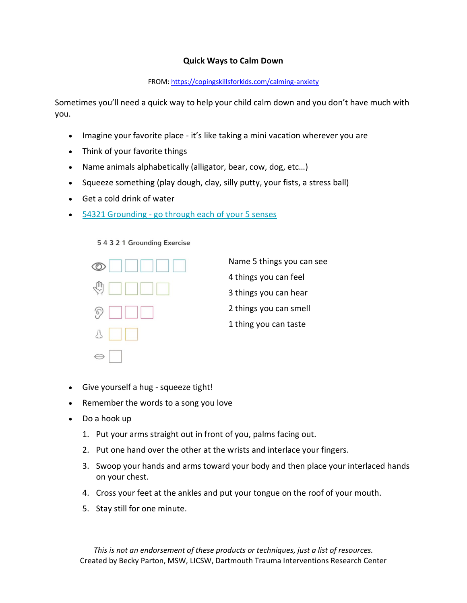## **Quick Ways to Calm Down**

## FROM[: https://copingskillsforkids.com/calming-anxiety](https://copingskillsforkids.com/calming-anxiety)

Sometimes you'll need a quick way to help your child calm down and you don't have much with you.

- Imagine your favorite place it's like taking a mini vacation wherever you are
- Think of your favorite things
- Name animals alphabetically (alligator, bear, cow, dog, etc…)
- Squeeze something (play dough, clay, silly putty, your fists, a stress ball)
- Get a cold drink of water
- 54321 Grounding [go through each of your 5 senses](http://www.copingkids.com/blog/2016/4/27/coping-skill-spotlight-5-4-3-2-1-grounding-technique)





Name 5 things you can see 4 things you can feel 3 things you can hear 2 things you can smell 1 thing you can taste

- Give yourself a hug squeeze tight!
- Remember the words to a song you love
- Do a hook up
	- 1. Put your arms straight out in front of you, palms facing out.
	- 2. Put one hand over the other at the wrists and interlace your fingers.
	- 3. Swoop your hands and arms toward your body and then place your interlaced hands on your chest.
	- 4. Cross your feet at the ankles and put your tongue on the roof of your mouth.
	- 5. Stay still for one minute.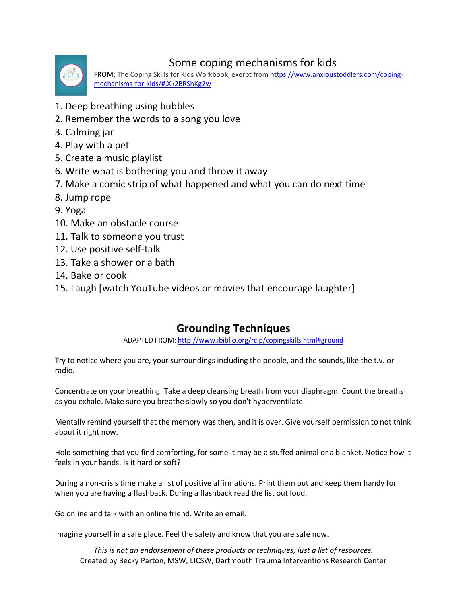

# Some coping mechanisms for kids

FROM: The Coping Skills for Kids Workbook, exerpt fro[m https://www.anxioustoddlers.com/coping](https://www.anxioustoddlers.com/coping-mechanisms-for-kids/#.Xk2BRShKg2w)[mechanisms-for-kids/#.Xk2BRShKg2w](https://www.anxioustoddlers.com/coping-mechanisms-for-kids/#.Xk2BRShKg2w)

- 1. Deep breathing using bubbles
- 2. Remember the words to a song you love
- 3. Calming jar
- 4. Play with a pet
- 5. Create a music playlist
- 6. Write what is bothering you and throw it away
- 7. Make a comic strip of what happened and what you can do next time
- 8. Jump rope
- 9. Yoga
- 10. Make an obstacle course
- 11. Talk to someone you trust
- 12. Use positive self-talk
- 13. Take a shower or a bath
- 14. Bake or cook
- 15. Laugh [watch YouTube videos or movies that encourage laughter]

## **Grounding Techniques**

ADAPTED FROM:<http://www.ibiblio.org/rcip/copingskills.html#ground>

Try to notice where you are, your surroundings including the people, and the sounds, like the t.v. or radio.

Concentrate on your breathing. Take a deep cleansing breath from your diaphragm. Count the breaths as you exhale. Make sure you breathe slowly so you don't hyperventilate.

Mentally remind yourself that the memory was then, and it is over. Give yourself permission to not think about it right now.

Hold something that you find comforting, for some it may be a stuffed animal or a blanket. Notice how it feels in your hands. Is it hard or soft?

During a non-crisis time make a list of positive affirmations. Print them out and keep them handy for when you are having a flashback. During a flashback read the list out loud.

Go online and talk with an online friend. Write an email.

Imagine yourself in a safe place. Feel the safety and know that you are safe now.